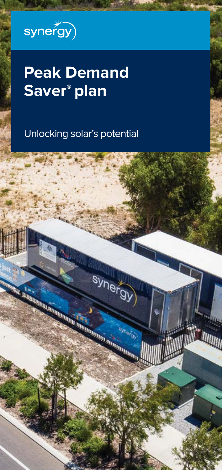

# **Peak Demand Saver® plan**

Unlocking solar's potential

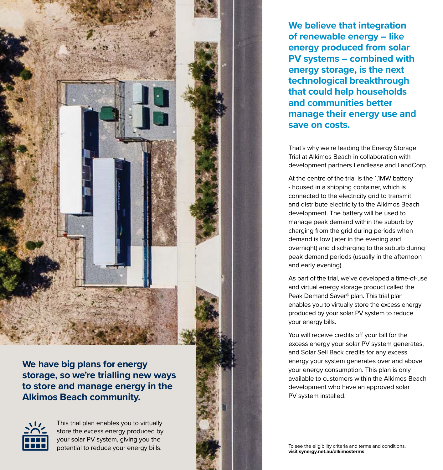**We have big plans for energy storage, so we're trialling new ways to store and manage energy in the Alkimos Beach community.**



This trial plan enables you to virtually store the excess energy produced by your solar PV system, giving you the potential to reduce your energy bills.

**We believe that integration of renewable energy – like energy produced from solar PV systems – combined with energy storage, is the next technological breakthrough that could help households and communities better manage their energy use and save on costs.** 

That's why we're leading the Energy Storage Trial at Alkimos Beach in collaboration with development partners Lendlease and LandCorp.

At the centre of the trial is the 1.1MW battery - housed in a shipping container, which is connected to the electricity grid to transmit and distribute electricity to the Alkimos Beach development. The battery will be used to manage peak demand within the suburb by charging from the grid during periods when demand is low (later in the evening and overnight) and discharging to the suburb during peak demand periods (usually in the afternoon and early evening).

As part of the trial, we've developed a time-of-use and virtual energy storage product called the Peak Demand Saver® plan. This trial plan enables you to virtually store the excess energy produced by your solar PV system to reduce your energy bills.

You will receive credits off your bill for the excess energy your solar PV system generates, and Solar Sell Back credits for any excess energy your system generates over and above your energy consumption. This plan is only available to customers within the Alkimos Beach development who have an approved solar PV system installed.

To see the eligibility criteria and terms and conditions, **visit synergy.net.au/alkimosterms**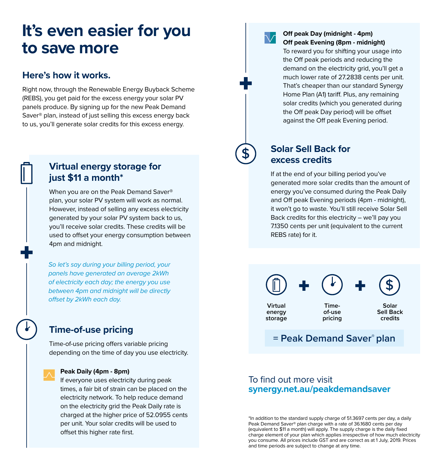### **It's even easier for you to save more**

#### **Here's how it works.**

Right now, through the Renewable Energy Buyback Scheme (REBS), you get paid for the excess energy your solar PV panels produce. By signing up for the new Peak Demand Saver® plan, instead of just selling this excess energy back to us, you'll generate solar credits for this excess energy.

### **Virtual energy storage for just \$11 a month\***

When you are on the Peak Demand Saver® plan, your solar PV system will work as normal. However, instead of selling any excess electricity generated by your solar PV system back to us, you'll receive solar credits. These credits will be used to offset your energy consumption between 4pm and midnight.

*So let's say during your billing period, your panels have generated an average 2kWh of electricity each day; the energy you use between 4pm and midnight will be directly offset by 2kWh each day.*

### **Time-of-use pricing**

Time-of-use pricing offers variable pricing depending on the time of day you use electricity.

#### **Peak Daily (4pm - 8pm)**

If everyone uses electricity during peak times, a fair bit of strain can be placed on the electricity network. To help reduce demand on the electricity grid the Peak Daily rate is charged at the higher price of 52.0955 cents per unit. Your solar credits will be used to offset this higher rate first.

#### **Off peak Day (midnight - 4pm) Off peak Evening (8pm - midnight)**

To reward you for shifting your usage into the Off peak periods and reducing the demand on the electricity grid, you'll get a much lower rate of 27.2838 cents per unit. That's cheaper than our standard Synergy Home Plan (A1) tariff. Plus, any remaining solar credits (which you generated during the Off peak Day period) will be offset against the Off peak Evening period.

### **Solar Sell Back for excess credits**

If at the end of your billing period you've generated more solar credits than the amount of energy you've consumed during the Peak Daily and Off peak Evening periods (4pm - midnight), it won't go to waste. You'll still receive Solar Sell Back credits for this electricity – we'll pay you 7.1350 cents per unit (equivalent to the current REBS rate) for it.



### **= Peak Demand Saver® plan**

### To find out more visit **synergy.net.au/peakdemandsaver**

\*In addition to the standard supply charge of 51.3697 cents per day, a daily Peak Demand Saver® plan charge with a rate of 36.1680 cents per day (equivalent to \$11 a month) will apply. The supply charge is the daily fixed charge element of your plan which applies irrespective of how much electricity you consume. All prices include GST and are correct as at 1 July, 2019. Prices and time periods are subject to change at any time.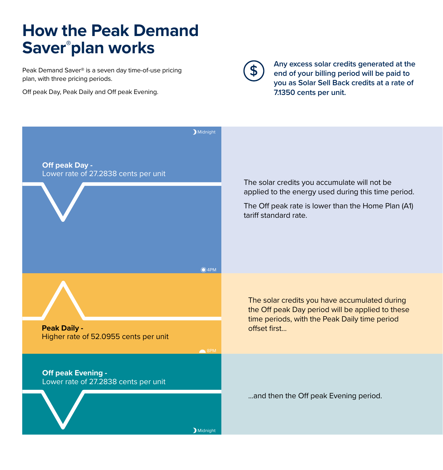# **How the Peak Demand Saver® plan works**

Peak Demand Saver® is a seven day time-of-use pricing plan, with three pricing periods.

Off peak Day, Peak Daily and Off peak Evening.



**Any excess solar credits generated at the end of your billing period will be paid to you as Solar Sell Back credits at a rate of 7.1350 cents per unit.**

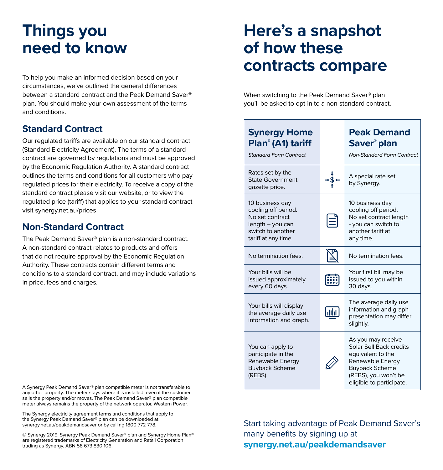# **Things you need to know**

To help you make an informed decision based on your circumstances, we've outlined the general differences between a standard contract and the Peak Demand Saver® plan. You should make your own assessment of the terms and conditions.

### **Standard Contract**

Our regulated tariffs are available on our standard contract (Standard Electricity Agreement). The terms of a standard contract are governed by regulations and must be approved by the Economic Regulation Authority. A standard contract outlines the terms and conditions for all customers who pay regulated prices for their electricity. To receive a copy of the standard contract please visit our website, or to view the regulated price (tariff) that applies to your standard contract visit synergy.net.au/prices

### **Non-Standard Contract**

The Peak Demand Saver® plan is a non-standard contract. A non-standard contract relates to products and offers that do not require approval by the Economic Regulation Authority. These contracts contain different terms and conditions to a standard contract, and may include variations in price, fees and charges.

A Synergy Peak Demand Saver® plan compatible meter is not transferable to any other property. The meter stays where it is installed, even if the customer sells the property and/or moves. The Peak Demand Saver® plan compatible meter always remains the property of the network operator, Western Power.

The Synergy electricity agreement terms and conditions that apply to the Synergy Peak Demand Saver® plan can be downloaded at synergy.net.au/peakdemandsaver or by calling 1800 772 778.

© Synergy 2019. Synergy Peak Demand Saver® plan and Synergy Home Plan® are registered trademarks of Electricity Generation and Retail Corporation trading as Synergy. ABN 58 673 830 106.

## **Here's a snapshot of how these contracts compare**

When switching to the Peak Demand Saver® plan you'll be asked to opt-in to a non-standard contract.

#### **Synergy Home Peak Demand Plan® (A1) tariff Saver® plan** *Standard Form Contract Non-Standard Form Contract* Rates set by the A special rate set State Government by Synergy. gazette price. 10 business day 10 business day cooling off period. cooling off period. No set contract No set contract length length – you can - you can switch to switch to another another tariff at tariff at any time. any time. No termination fees.  $\mathbb{X}$  No termination fees. Your bills will be Your first bill may be [無] issued approximately issued to you within every 60 days. 30 days. The average daily use Your bills will display information and graph **Gula** the average daily use presentation may differ information and graph. slightly. As you may receive You can apply to Solar Sell Back credits participate in the equivalent to the Renewable Energy Renewable Energy Buyback Scheme Buyback Scheme (REBS). (REBS), you won't be eligible to participate.

Start taking advantage of Peak Demand Saver's many benefits by signing up at **synergy.net.au/peakdemandsaver**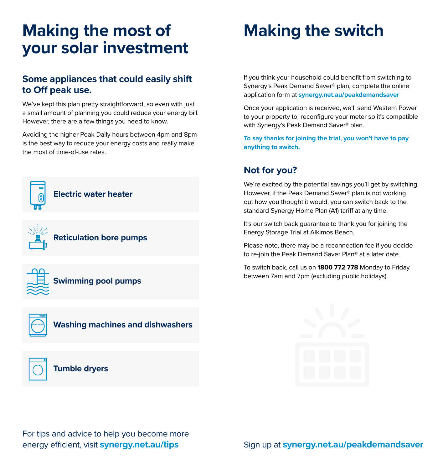# **Making the most of Making the switch your solar investment**

### **Some appliances that could easily shift to Off peak use.**

We've kept this plan pretty straightforward, so even with just a small amount of planning you could reduce your energy bill. However, there are a few things you need to know.

Avoiding the higher Peak Daily hours between 4pm and 8pm is the best way to reduce your energy costs and really make the most of time-of-use rates.







### **Washing machines and dishwashers**



If you think your household could benefit from switching to Synergy's Peak Demand Saver® plan, complete the online application form at **synergy.net.au/peakdemandsaver**

Once your application is received, we'll send Western Power to your property to reconfigure your meter so it's compatible with Synergy's Peak Demand Saver® plan.

**To say thanks for joining the trial, you won't have to pay anything to switch.**

### **Not for you?**

We're excited by the potential savings you'll get by switching. However, if the Peak Demand Saver® plan is not working out how you thought it would, you can switch back to the standard Synergy Home Plan (A1) tariff at any time.

It's our switch back guarantee to thank you for joining the Energy Storage Trial at Alkimos Beach.

Please note, there may be a reconnection fee if you decide to re-join the Peak Demand Saver Plan® at a later date.

To switch back, call us on **1800 772 778** Monday to Friday between 7am and 7pm (excluding public holidays).



For tips and advice to help you become more